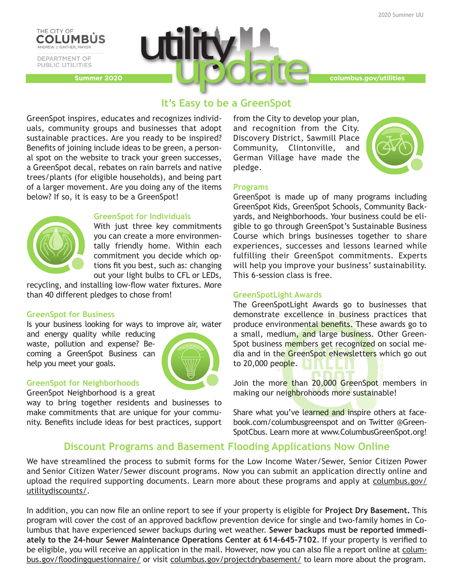

PUBLIC UTILITIES



# **It's Easy to be a GreenSpot**

GreenSpot inspires, educates and recognizes individuals, community groups and businesses that adopt sustainable practices. Are you ready to be inspired? Benefits of joining include ideas to be green, a personal spot on the website to track your green successes, a GreenSpot decal, rebates on rain barrels and native trees/plants (for eligible households), and being part of a larger movement. Are you doing any of the items below? If so, it is easy to be a GreenSpot!



## **GreenSpot for Individuals**

With just three key commitments you can create a more environmentally friendly home. Within each commitment you decide which options fit you best, such as: changing out your light bulbs to CFL or LEDs,

recycling, and installing low-flow water fixtures. More than 40 different pledges to chose from!

## **GreenSpot for Business**

Is your business looking for ways to improve air, water

and energy quality while reducing waste, pollution and expense? Becoming a GreenSpot Business can help you meet your goals.



## **GreenSpot for Neighborhoods**

GreenSpot Neighborhood is a great

way to bring together residents and businesses to make commitments that are unique for your community. Benefits include ideas for best practices, support from the City to develop your plan, and recognition from the City. Discovery District, Sawmill Place Community, Clintonville, and German Village have made the pledge.



# **Programs**

GreenSpot is made up of many programs including GreenSpot Kids, GreenSpot Schools, Community Backyards, and Neighborhoods. Your business could be eligible to go through GreenSpot's Sustainable Business Course which brings businesses together to share experiences, successes and lessons learned while fulfilling their GreenSpot commitments. Experts will help you improve your business' sustainability. This 6-session class is free.

## **GreenSpotLight Awards**

The GreenSpotLight Awards go to businesses that demonstrate excellence in business practices that produce environmental benefits. These awards go to a small, medium, and large business. Other Green-Spot business members get recognized on social media and in the GreenSpot eNewsletters which go out to 20,000 people.

Join the more than 20,000 GreenSpot members in making our neighbrohoods more sustainable!

Share what you've learned and inspire others at facebook.com/columbusgreenspot and on Twitter @Green-SpotCbus. Learn more at www.ColumbusGreenSpot.org!

# **Discount Programs and Basement Flooding Applications Now Online**

We have streamlined the process to submit forms for the Low Income Water/Sewer, Senior Citizen Power and Senior Citizen Water/Sewer discount programs. Now you can submit an application directly online and upload the required supporting documents. Learn more about these programs and apply at columbus.gov/ utilitydiscounts/.

In addition, you can now file an online report to see if your property is eligible for **Project Dry Basement.** This program will cover the cost of an approved backflow prevention device for single and two-family homes in Columbus that have experienced sewer backups during wet weather. **Sewer backups must be reported immediately to the 24-hour Sewer Maintenance Operations Center at 614-645-7102**. If your property is verified to be eligible, you will receive an application in the mail. However, now you can also file a report online at columbus.gov/floodingquestionnaire/ or visit columbus.gov/projectdrybasement/ to learn more about the program.